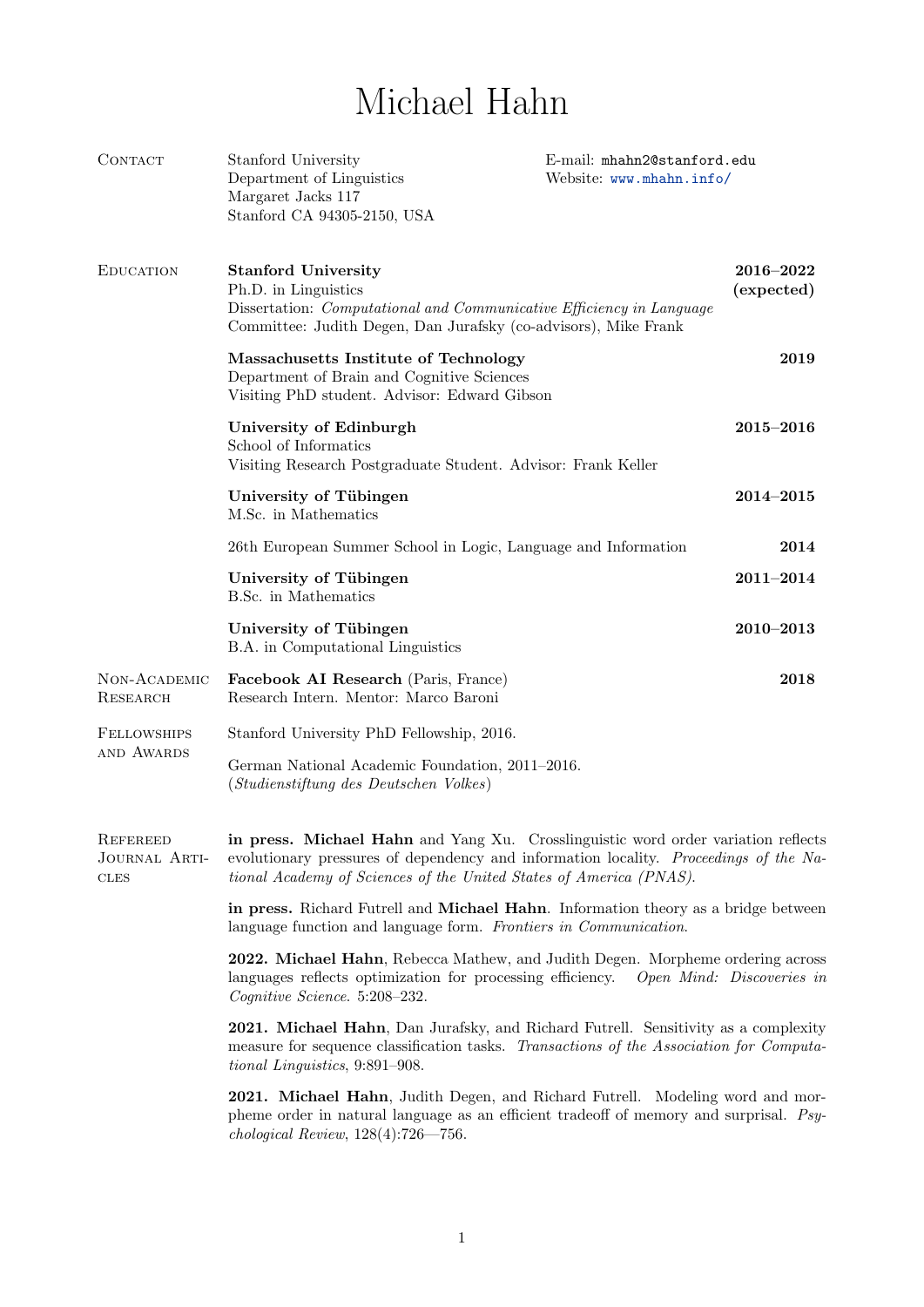## Michael Hahn

| CONTACT                                         | Stanford University<br>Department of Linguistics<br>Margaret Jacks 117<br>Stanford CA 94305-2150, USA                                                                                                                                            | E-mail: mhahn2@stanford.edu<br>Website: www.mhahn.info/ |                             |
|-------------------------------------------------|--------------------------------------------------------------------------------------------------------------------------------------------------------------------------------------------------------------------------------------------------|---------------------------------------------------------|-----------------------------|
| <b>EDUCATION</b>                                | <b>Stanford University</b><br>Ph.D. in Linguistics<br>Dissertation: <i>Computational and Communicative Efficiency in Language</i><br>Committee: Judith Degen, Dan Jurafsky (co-advisors), Mike Frank                                             |                                                         | $2016 - 2022$<br>(expected) |
|                                                 | Massachusetts Institute of Technology<br>Department of Brain and Cognitive Sciences<br>Visiting PhD student. Advisor: Edward Gibson                                                                                                              |                                                         | 2019                        |
|                                                 | University of Edinburgh<br>School of Informatics<br>Visiting Research Postgraduate Student. Advisor: Frank Keller                                                                                                                                |                                                         | $2015 - 2016$               |
|                                                 | University of Tübingen<br>M.Sc. in Mathematics                                                                                                                                                                                                   |                                                         | $2014 - 2015$               |
|                                                 | 26th European Summer School in Logic, Language and Information                                                                                                                                                                                   |                                                         | 2014                        |
|                                                 | University of Tübingen<br>B.Sc. in Mathematics                                                                                                                                                                                                   |                                                         | $2011 - 2014$               |
|                                                 | University of Tübingen<br>B.A. in Computational Linguistics                                                                                                                                                                                      |                                                         | $2010 - 2013$               |
| NON-ACADEMIC<br>RESEARCH                        | Facebook AI Research (Paris, France)<br>Research Intern. Mentor: Marco Baroni                                                                                                                                                                    |                                                         | 2018                        |
| <b>FELLOWSHIPS</b><br>AND AWARDS                | Stanford University PhD Fellowship, 2016.                                                                                                                                                                                                        |                                                         |                             |
|                                                 | German National Academic Foundation, 2011-2016.<br>(Studienstiftung des Deutschen Volkes)                                                                                                                                                        |                                                         |                             |
| <b>REFEREED</b><br>JOURNAL ARTI-<br><b>CLES</b> | in press. Michael Hahn and Yang Xu. Crosslinguistic word order variation reflects<br>evolutionary pressures of dependency and information locality. Proceedings of the Na-<br>tional Academy of Sciences of the United States of America (PNAS). |                                                         |                             |
|                                                 | in press. Richard Futrell and Michael Hahn. Information theory as a bridge between<br>language function and language form. Frontiers in Communication.                                                                                           |                                                         |                             |
|                                                 | 2022. Michael Hahn, Rebecca Mathew, and Judith Degen. Morpheme ordering across<br>languages reflects optimization for processing efficiency. Open Mind: Discoveries in<br>Cognitive Science. 5:208-232.                                          |                                                         |                             |
|                                                 | 2021. Michael Hahn, Dan Jurafsky, and Richard Futrell. Sensitivity as a complexity<br>measure for sequence classification tasks. Transactions of the Association for Computa-<br>tional Linguistics, 9:891-908.                                  |                                                         |                             |
|                                                 | 2021. Michael Hahn, Judith Degen, and Richard Futrell. Modeling word and mor-<br>pheme order in natural language as an efficient tradeoff of memory and surprisal. Psy-<br>chological Review, $128(4):726 - 756$ .                               |                                                         |                             |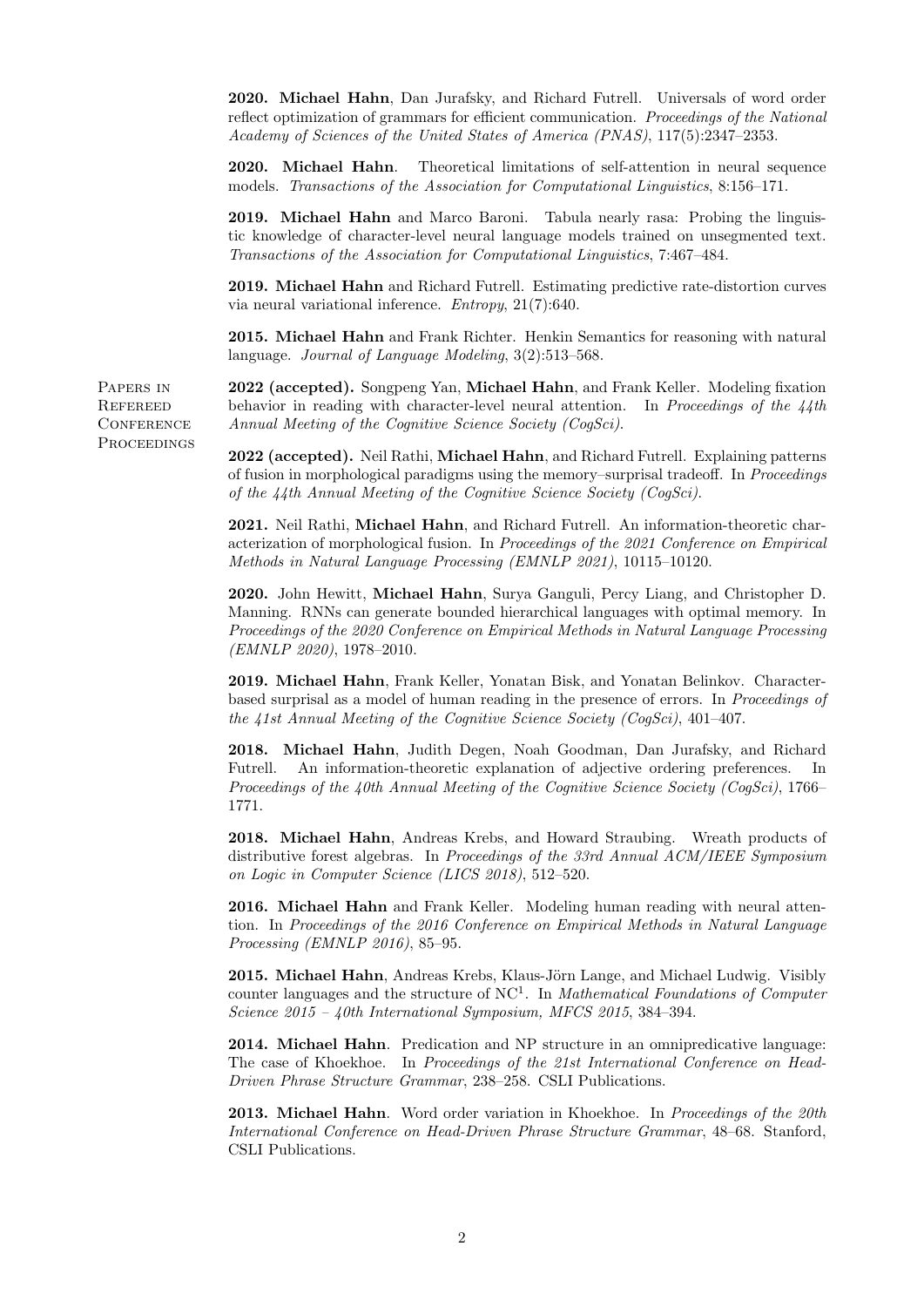2020. Michael Hahn, Dan Jurafsky, and Richard Futrell. Universals of word order reflect optimization of grammars for efficient communication. Proceedings of the National Academy of Sciences of the United States of America (PNAS), 117(5):2347–2353.

2020. Michael Hahn. Theoretical limitations of self-attention in neural sequence models. Transactions of the Association for Computational Linguistics, 8:156–171.

2019. Michael Hahn and Marco Baroni. Tabula nearly rasa: Probing the linguistic knowledge of character-level neural language models trained on unsegmented text. Transactions of the Association for Computational Linguistics, 7:467–484.

2019. Michael Hahn and Richard Futrell. Estimating predictive rate-distortion curves via neural variational inference. Entropy, 21(7):640.

2015. Michael Hahn and Frank Richter. Henkin Semantics for reasoning with natural language. Journal of Language Modeling, 3(2):513–568.

2022 (accepted). Songpeng Yan, Michael Hahn, and Frank Keller. Modeling fixation behavior in reading with character-level neural attention. In Proceedings of the  $\lambda$  4th Annual Meeting of the Cognitive Science Society (CogSci).

2022 (accepted). Neil Rathi, Michael Hahn, and Richard Futrell. Explaining patterns of fusion in morphological paradigms using the memory–surprisal tradeoff. In Proceedings of the 44th Annual Meeting of the Cognitive Science Society (CogSci).

2021. Neil Rathi, Michael Hahn, and Richard Futrell. An information-theoretic characterization of morphological fusion. In Proceedings of the 2021 Conference on Empirical Methods in Natural Language Processing (EMNLP 2021), 10115–10120.

2020. John Hewitt, Michael Hahn, Surya Ganguli, Percy Liang, and Christopher D. Manning. RNNs can generate bounded hierarchical languages with optimal memory. In Proceedings of the 2020 Conference on Empirical Methods in Natural Language Processing (EMNLP 2020), 1978–2010.

2019. Michael Hahn, Frank Keller, Yonatan Bisk, and Yonatan Belinkov. Characterbased surprisal as a model of human reading in the presence of errors. In Proceedings of the 41st Annual Meeting of the Cognitive Science Society (CogSci), 401–407.

2018. Michael Hahn, Judith Degen, Noah Goodman, Dan Jurafsky, and Richard Futrell. An information-theoretic explanation of adjective ordering preferences. In Proceedings of the 40th Annual Meeting of the Cognitive Science Society (CogSci), 1766– 1771.

2018. Michael Hahn, Andreas Krebs, and Howard Straubing. Wreath products of distributive forest algebras. In Proceedings of the 33rd Annual ACM/IEEE Symposium on Logic in Computer Science (LICS 2018), 512–520.

2016. Michael Hahn and Frank Keller. Modeling human reading with neural attention. In Proceedings of the 2016 Conference on Empirical Methods in Natural Language Processing (EMNLP 2016), 85–95.

2015. Michael Hahn, Andreas Krebs, Klaus-Jörn Lange, and Michael Ludwig. Visibly counter languages and the structure of  $NC<sup>1</sup>$ . In *Mathematical Foundations of Computer* Science 2015 – 40th International Symposium, MFCS 2015, 384–394.

2014. Michael Hahn. Predication and NP structure in an omnipredicative language: The case of Khoekhoe. In Proceedings of the 21st International Conference on Head-Driven Phrase Structure Grammar, 238–258. CSLI Publications.

**2013. Michael Hahn.** Word order variation in Khoekhoe. In Proceedings of the 20th International Conference on Head-Driven Phrase Structure Grammar, 48–68. Stanford, CSLI Publications.

Papers in **REFEREED CONFERENCE PROCEEDINGS**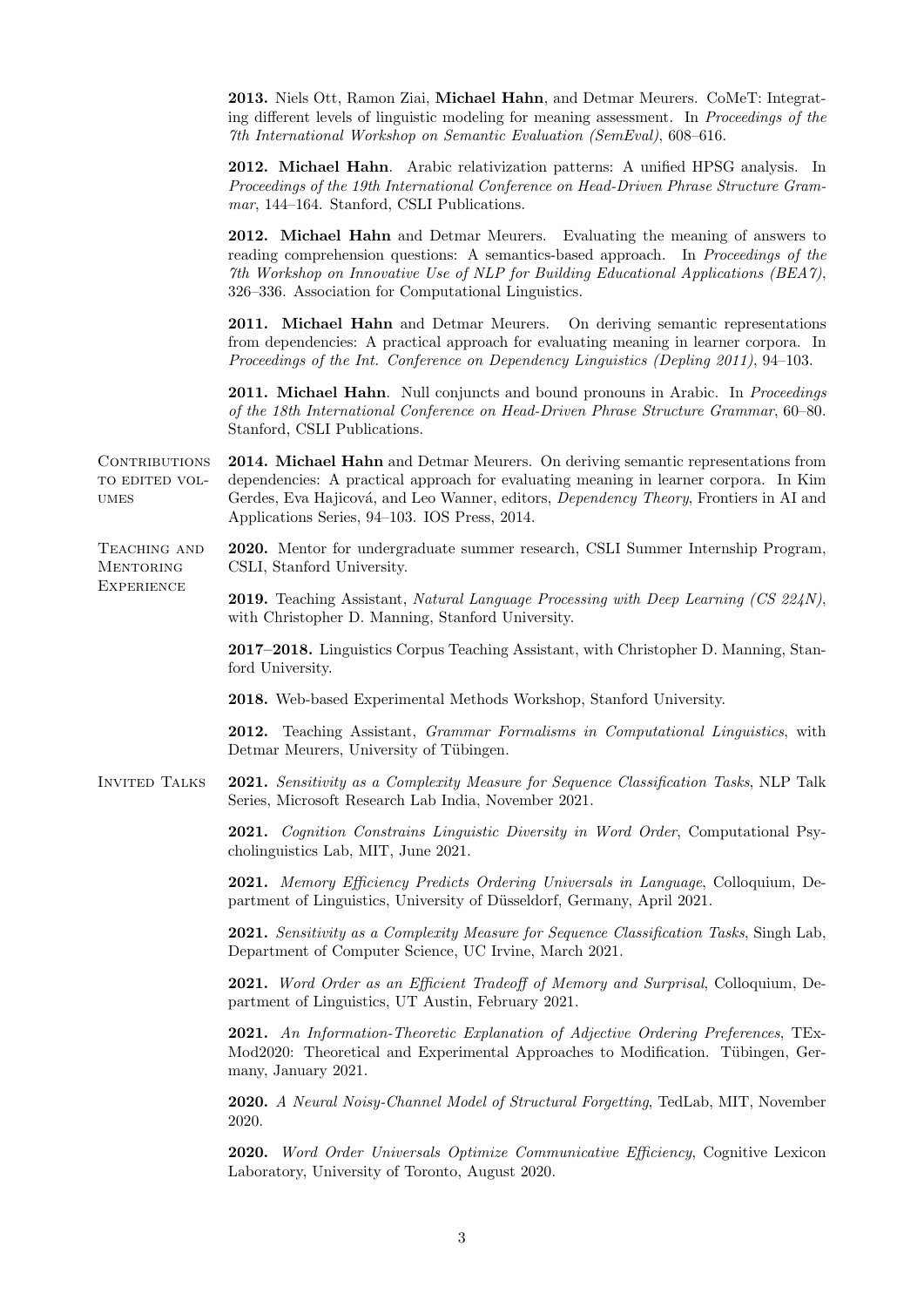2013. Niels Ott, Ramon Ziai, Michael Hahn, and Detmar Meurers. CoMeT: Integrating different levels of linguistic modeling for meaning assessment. In Proceedings of the 7th International Workshop on Semantic Evaluation (SemEval), 608–616.

2012. Michael Hahn. Arabic relativization patterns: A unified HPSG analysis. In Proceedings of the 19th International Conference on Head-Driven Phrase Structure Grammar, 144–164. Stanford, CSLI Publications.

2012. Michael Hahn and Detmar Meurers. Evaluating the meaning of answers to reading comprehension questions: A semantics-based approach. In Proceedings of the 7th Workshop on Innovative Use of NLP for Building Educational Applications (BEA7), 326–336. Association for Computational Linguistics.

2011. Michael Hahn and Detmar Meurers. On deriving semantic representations from dependencies: A practical approach for evaluating meaning in learner corpora. In Proceedings of the Int. Conference on Dependency Linguistics (Depling 2011), 94–103.

2011. Michael Hahn. Null conjuncts and bound pronouns in Arabic. In Proceedings of the 18th International Conference on Head-Driven Phrase Structure Grammar, 60–80. Stanford, CSLI Publications.

CONTRIBUTIONS to edited vol-**UMES** 2014. Michael Hahn and Detmar Meurers. On deriving semantic representations from dependencies: A practical approach for evaluating meaning in learner corpora. In Kim Gerdes, Eva Hajicová, and Leo Wanner, editors, Dependency Theory, Frontiers in AI and Applications Series, 94–103. IOS Press, 2014.

**EXPERIENCE** 

TEACHING AND **MENTORING** 2020. Mentor for undergraduate summer research, CSLI Summer Internship Program, CSLI, Stanford University.

> 2019. Teaching Assistant, Natural Language Processing with Deep Learning (CS 224N), with Christopher D. Manning, Stanford University.

2017–2018. Linguistics Corpus Teaching Assistant, with Christopher D. Manning, Stanford University.

2018. Web-based Experimental Methods Workshop, Stanford University.

2012. Teaching Assistant, Grammar Formalisms in Computational Linguistics, with Detmar Meurers, University of Tübingen.

Invited Talks 2021. Sensitivity as a Complexity Measure for Sequence Classification Tasks, NLP Talk Series, Microsoft Research Lab India, November 2021.

> 2021. Cognition Constrains Linguistic Diversity in Word Order, Computational Psycholinguistics Lab, MIT, June 2021.

> 2021. Memory Efficiency Predicts Ordering Universals in Language, Colloquium, Department of Linguistics, University of Düsseldorf, Germany, April 2021.

> 2021. Sensitivity as a Complexity Measure for Sequence Classification Tasks, Singh Lab, Department of Computer Science, UC Irvine, March 2021.

> 2021. Word Order as an Efficient Tradeoff of Memory and Surprisal, Colloquium, Department of Linguistics, UT Austin, February 2021.

> 2021. An Information-Theoretic Explanation of Adjective Ordering Preferences, TEx-Mod2020: Theoretical and Experimental Approaches to Modification. Tübingen, Germany, January 2021.

> 2020. A Neural Noisy-Channel Model of Structural Forgetting, TedLab, MIT, November 2020.

> 2020. Word Order Universals Optimize Communicative Efficiency, Cognitive Lexicon Laboratory, University of Toronto, August 2020.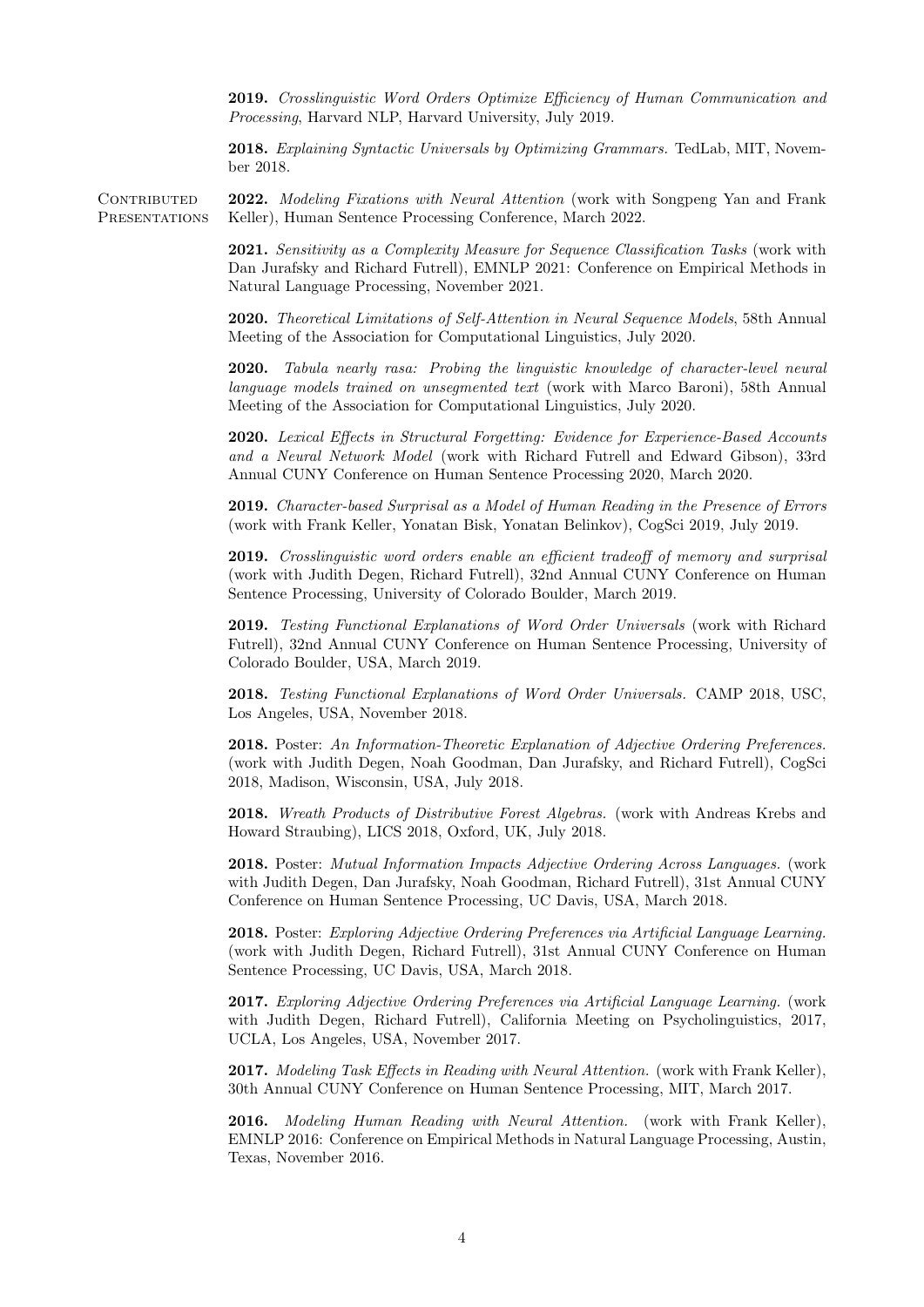2019. Crosslinguistic Word Orders Optimize Efficiency of Human Communication and Processing, Harvard NLP, Harvard University, July 2019.

2018. Explaining Syntactic Universals by Optimizing Grammars. TedLab, MIT, November 2018.

CONTRIBUTED **PRESENTATIONS** 2022. Modeling Fixations with Neural Attention (work with Songpeng Yan and Frank Keller), Human Sentence Processing Conference, March 2022.

> 2021. Sensitivity as a Complexity Measure for Sequence Classification Tasks (work with Dan Jurafsky and Richard Futrell), EMNLP 2021: Conference on Empirical Methods in Natural Language Processing, November 2021.

> 2020. Theoretical Limitations of Self-Attention in Neural Sequence Models, 58th Annual Meeting of the Association for Computational Linguistics, July 2020.

> 2020. Tabula nearly rasa: Probing the linguistic knowledge of character-level neural language models trained on unsegmented text (work with Marco Baroni), 58th Annual Meeting of the Association for Computational Linguistics, July 2020.

> 2020. Lexical Effects in Structural Forgetting: Evidence for Experience-Based Accounts and a Neural Network Model (work with Richard Futrell and Edward Gibson), 33rd Annual CUNY Conference on Human Sentence Processing 2020, March 2020.

> 2019. Character-based Surprisal as a Model of Human Reading in the Presence of Errors (work with Frank Keller, Yonatan Bisk, Yonatan Belinkov), CogSci 2019, July 2019.

> 2019. Crosslinguistic word orders enable an efficient tradeoff of memory and surprisal (work with Judith Degen, Richard Futrell), 32nd Annual CUNY Conference on Human Sentence Processing, University of Colorado Boulder, March 2019.

> 2019. Testing Functional Explanations of Word Order Universals (work with Richard Futrell), 32nd Annual CUNY Conference on Human Sentence Processing, University of Colorado Boulder, USA, March 2019.

> 2018. Testing Functional Explanations of Word Order Universals. CAMP 2018, USC, Los Angeles, USA, November 2018.

> 2018. Poster: An Information-Theoretic Explanation of Adjective Ordering Preferences. (work with Judith Degen, Noah Goodman, Dan Jurafsky, and Richard Futrell), CogSci 2018, Madison, Wisconsin, USA, July 2018.

> 2018. Wreath Products of Distributive Forest Algebras. (work with Andreas Krebs and Howard Straubing), LICS 2018, Oxford, UK, July 2018.

> 2018. Poster: Mutual Information Impacts Adjective Ordering Across Languages. (work with Judith Degen, Dan Jurafsky, Noah Goodman, Richard Futrell), 31st Annual CUNY Conference on Human Sentence Processing, UC Davis, USA, March 2018.

> 2018. Poster: Exploring Adjective Ordering Preferences via Artificial Language Learning. (work with Judith Degen, Richard Futrell), 31st Annual CUNY Conference on Human Sentence Processing, UC Davis, USA, March 2018.

> 2017. Exploring Adjective Ordering Preferences via Artificial Language Learning. (work with Judith Degen, Richard Futrell), California Meeting on Psycholinguistics, 2017, UCLA, Los Angeles, USA, November 2017.

> 2017. Modeling Task Effects in Reading with Neural Attention. (work with Frank Keller), 30th Annual CUNY Conference on Human Sentence Processing, MIT, March 2017.

> 2016. Modeling Human Reading with Neural Attention. (work with Frank Keller), EMNLP 2016: Conference on Empirical Methods in Natural Language Processing, Austin, Texas, November 2016.